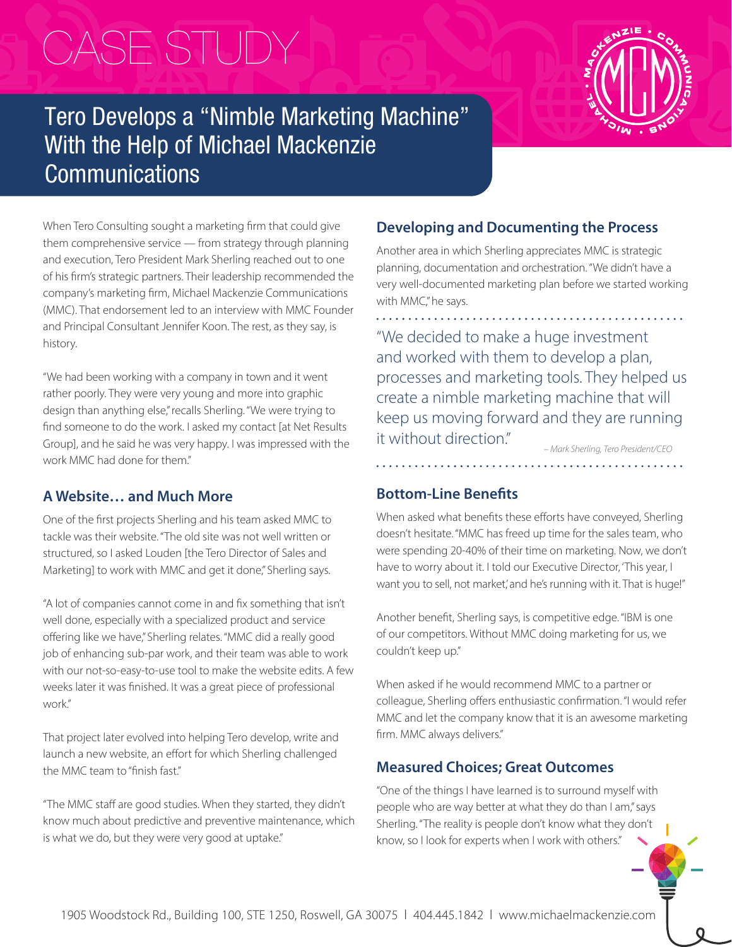# CASE STUDY

# Tero Develops a "Nimble Marketing Machine" With the Help of Michael Mackenzie **Communications**

When Tero Consulting sought a marketing firm that could give them comprehensive service — from strategy through planning and execution, Tero President Mark Sherling reached out to one of his firm's strategic partners. Their leadership recommended the company's marketing firm, Michael Mackenzie Communications (MMC). That endorsement led to an interview with MMC Founder and Principal Consultant Jennifer Koon. The rest, as they say, is history.

"We had been working with a company in town and it went rather poorly. They were very young and more into graphic design than anything else," recalls Sherling. "We were trying to find someone to do the work. I asked my contact [at Net Results Group], and he said he was very happy. I was impressed with the work MMC had done for them."

# **A Website… and Much More**

One of the first projects Sherling and his team asked MMC to tackle was their website. "The old site was not well written or structured, so I asked Louden [the Tero Director of Sales and Marketing] to work with MMC and get it done," Sherling says.

"A lot of companies cannot come in and fix something that isn't well done, especially with a specialized product and service offering like we have," Sherling relates. "MMC did a really good job of enhancing sub-par work, and their team was able to work with our not-so-easy-to-use tool to make the website edits. A few weeks later it was finished. It was a great piece of professional work."

That project later evolved into helping Tero develop, write and launch a new website, an effort for which Sherling challenged the MMC team to "finish fast."

"The MMC staff are good studies. When they started, they didn't know much about predictive and preventive maintenance, which is what we do, but they were very good at uptake."

# **Developing and Documenting the Process**

Another area in which Sherling appreciates MMC is strategic planning, documentation and orchestration. "We didn't have a very well-documented marketing plan before we started working with MMC," he says.

"We decided to make a huge investment and worked with them to develop a plan, processes and marketing tools. They helped us create a nimble marketing machine that will keep us moving forward and they are running it without direction."

*– Mark Sherling, Tero President/CEO*

# **Bottom-Line Benefits**

. . . . . . . . . . . . . . .

When asked what benefits these efforts have conveyed, Sherling doesn't hesitate. "MMC has freed up time for the sales team, who were spending 20-40% of their time on marketing. Now, we don't have to worry about it. I told our Executive Director, 'This year, I want you to sell, not market,' and he's running with it. That is huge!"

Another benefit, Sherling says, is competitive edge. "IBM is one of our competitors. Without MMC doing marketing for us, we couldn't keep up."

When asked if he would recommend MMC to a partner or colleague, Sherling offers enthusiastic confirmation. "I would refer MMC and let the company know that it is an awesome marketing firm. MMC always delivers."

# **Measured Choices; Great Outcomes**

"One of the things I have learned is to surround myself with people who are way better at what they do than I am," says Sherling. "The reality is people don't know what they don't know, so I look for experts when I work with others."